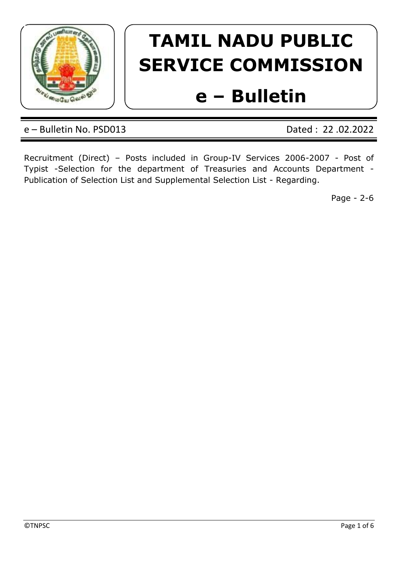

# **TAMIL NADU PUBLIC SERVICE COMMISSION**

# **e – Bulletin**

e – Bulletin No. PSD013 Dated : 22 .02.2022

Recruitment (Direct) – Posts included in Group-IV Services 2006-2007 - Post of Typist -Selection for the department of Treasuries and Accounts Department - Publication of Selection List and Supplemental Selection List - Regarding.

Page - 2-6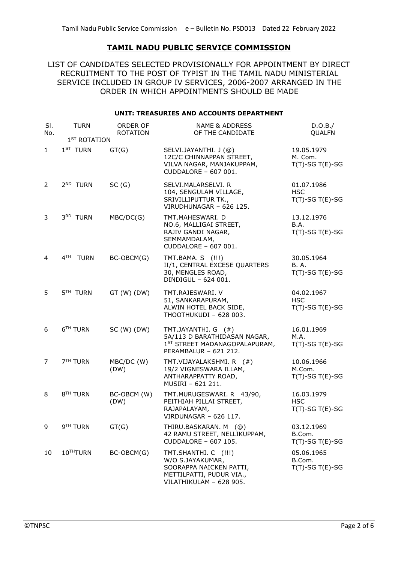## **TAMIL NADU PUBLIC SERVICE COMMISSION**

LIST OF CANDIDATES SELECTED PROVISIONALLY FOR APPOINTMENT BY DIRECT RECRUITMENT TO THE POST OF TYPIST IN THE TAMIL NADU MINISTERIAL SERVICE INCLUDED IN GROUP IV SERVICES, 2006-2007 ARRANGED IN THE ORDER IN WHICH APPOINTMENTS SHOULD BE MADE

### **UNIT: TREASURIES AND ACCOUNTS DEPARTMENT**

| SI.<br>No. | <b>TURN</b>                    | ORDER OF<br><b>ROTATION</b> | <b>NAME &amp; ADDRESS</b><br>OF THE CANDIDATE                                                                              | D.O.B./<br>QUALFN                                  |
|------------|--------------------------------|-----------------------------|----------------------------------------------------------------------------------------------------------------------------|----------------------------------------------------|
|            | 1 <sup>ST</sup> ROTATION       |                             |                                                                                                                            |                                                    |
| 1          | $1ST$ TURN                     | GT(G)                       | SELVI.JAYANTHI. J (@)<br>12C/C CHINNAPPAN STREET,<br>VILVA NAGAR, MANJAKUPPAM,<br>CUDDALORE - 607 001.                     | 19.05.1979<br>M. Com.<br>$T(T)$ -SG $T(E)$ -SG     |
| 2          | 2 <sup>ND</sup> TURN           | SC(G)                       | SELVI.MALARSELVI. R<br>104, SENGULAM VILLAGE,<br>SRIVILLIPUTTUR TK.,<br>VIRUDHUNAGAR - 626 125.                            | 01.07.1986<br><b>HSC</b><br>$T(T)$ -SG $T(E)$ -SG  |
| 3          | 3RD TURN                       | MBC/DC(G)                   | TMT.MAHESWARI.D<br>NO.6, MALLIGAI STREET,<br>RAJIV GANDI NAGAR,<br>SEMMAMDALAM,<br>CUDDALORE - 607 001.                    | 13.12.1976<br>B.A.<br>$T(T)$ -SG $T(E)$ -SG        |
| 4          | 4 <sup>TH</sup><br><b>TURN</b> | BC-OBCM(G)                  | TMT.BAMA. S (!!!)<br>II/1, CENTRAL EXCESE QUARTERS<br>30, MENGLES ROAD,<br>DINDIGUL - 624 001.                             | 30.05.1964<br><b>B.A.</b><br>$T(T)$ -SG $T(E)$ -SG |
| 5          | 5 <sup>TH</sup> TURN           | $GT(W)$ (DW)                | TMT.RAJESWARI. V<br>51, SANKARAPURAM,<br>ALWIN HOTEL BACK SIDE,<br>THOOTHUKUDI - 628 003.                                  | 04.02.1967<br><b>HSC</b><br>$T(T)$ -SG $T(E)$ -SG  |
| 6          | 6 <sup>TH</sup> TURN           | SC(W) (DW)                  | TMT.JAYANTHI. G (#)<br>5A/113 D BARATHIDASAN NAGAR,<br>1ST STREET MADANAGOPALAPURAM,<br>PERAMBALUR - 621 212.              | 16.01.1969<br>M.A.<br>$T(T)$ -SG T(E)-SG           |
| 7          | 7 <sup>TH</sup> TURN           | MBC/DC (W)<br>(DW)          | TMT.VIJAYALAKSHMI. R (#)<br>19/2 VIGNESWARA ILLAM,<br>ANTHARAPPATTY ROAD,<br>MUSIRI - 621 211.                             | 10.06.1966<br>M.Com.<br>$T(T)$ -SG $T(E)$ -SG      |
| 8          | 8 <sup>TH</sup> TURN           | BC-OBCM (W)<br>(DW)         | TMT.MURUGESWARI. R 43/90,<br>PEITHIAH PILLAI STREET,<br>RAJAPALAYAM,<br>VIRDUNAGAR - 626 117.                              | 16.03.1979<br><b>HSC</b><br>$T(T)$ -SG $T(E)$ -SG  |
| 9          | 9 <sup>TH</sup> TURN           | GT(G)                       | THIRU.BASKARAN. M (@)<br>42 RAMU STREET, NELLIKUPPAM,<br>CUDDALORE - 607 105.                                              | 03.12.1969<br>B.Com.<br>$T(T)$ -SG $T(E)$ -SG      |
| 10         | 10THTURN                       | BC-OBCM(G)                  | TMT.SHANTHI. C (!!!)<br>W/O S.JAYAKUMAR,<br>SOORAPPA NAICKEN PATTI,<br>METTILPATTI, PUDUR VIA.,<br>VILATHIKULAM - 628 905. | 05.06.1965<br>B.Com.<br>$T(T)$ -SG $T(E)$ -SG      |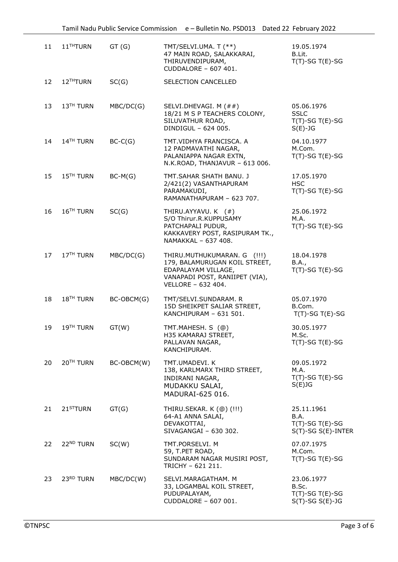| 11 | 11 <sup>TH</sup> TURN | GT(G)      | TMT/SELVI.UMA. T (**)<br>47 MAIN ROAD, SALAKKARAI,<br>THIRUVENDIPURAM,<br>CUDDALORE - 607 401.                                              | 19.05.1974<br>B.Lit.<br>$T(T)$ -SG $T(E)$ -SG                         |
|----|-----------------------|------------|---------------------------------------------------------------------------------------------------------------------------------------------|-----------------------------------------------------------------------|
| 12 | 12THTURN              | SC(G)      | SELECTION CANCELLED                                                                                                                         |                                                                       |
| 13 | 13 <sup>TH</sup> TURN | MBC/DC(G)  | SELVI.DHEVAGI. M (##)<br>18/21 M S P TEACHERS COLONY,<br>SILUVATHUR ROAD,<br>DINDIGUL - 624 005.                                            | 05.06.1976<br><b>SSLC</b><br>$T(T)$ -SG $T(E)$ -SG<br>$S(E)-JG$       |
| 14 | 14 <sup>TH</sup> TURN | $BC-C(G)$  | TMT.VIDHYA FRANCISCA. A<br>12 PADMAVATHI NAGAR,<br>PALANIAPPA NAGAR EXTN,<br>N.K.ROAD, THANJAVUR - 613 006.                                 | 04.10.1977<br>M.Com.<br>$T(T)$ -SG $T(E)$ -SG                         |
| 15 | 15 <sup>TH</sup> TURN | $BC-M(G)$  | TMT.SAHAR SHATH BANU. J<br>2/421(2) VASANTHAPURAM<br>PARAMAKUDI,<br>RAMANATHAPURAM - 623 707.                                               | 17.05.1970<br><b>HSC</b><br>$T(T)$ -SG $T(E)$ -SG                     |
| 16 | 16 <sup>TH</sup> TURN | SC(G)      | THIRU.AYYAVU. K (#)<br>S/O Thirur.R.KUPPUSAMY<br>PATCHAPALI PUDUR,<br>KAKKAVERY POST, RASIPURAM TK.,<br>NAMAKKAL - 637 408.                 | 25.06.1972<br>M.A.<br>$T(T)$ -SG $T(E)$ -SG                           |
| 17 | 17 <sup>TH</sup> TURN | MBC/DC(G)  | THIRU.MUTHUKUMARAN. G (!!!)<br>179, BALAMURUGAN KOIL STREET,<br>EDAPALAYAM VILLAGE,<br>VANAPADI POST, RANIIPET (VIA),<br>VELLORE - 632 404. | 18.04.1978<br>B.A.,<br>$T(T)$ -SG $T(E)$ -SG                          |
| 18 | 18 <sup>TH</sup> TURN | BC-OBCM(G) | TMT/SELVI.SUNDARAM. R<br>15D SHEIKPET SALIAR STREET,<br>KANCHIPURAM - 631 501.                                                              | 05.07.1970<br>B.Com.<br>$T(T)$ -SG $T(E)$ -SG                         |
| 19 | 19 <sup>TH</sup> TURN | GT(W)      | TMT.MAHESH. S (@)<br>H35 KAMARAJ STREET,<br>PALLAVAN NAGAR,<br>KANCHIPURAM.                                                                 | 30.05.1977<br>M.Sc.<br>$T(T)$ -SG $T(E)$ -SG                          |
| 20 | 20TH TURN             | BC-OBCM(W) | TMT.UMADEVI. K<br>138, KARLMARX THIRD STREET,<br>INDIRANI NAGAR,<br>MUDAKKU SALAI,<br>MADURAI-625 016.                                      | 09.05.1972<br>M.A.<br>$T(T)$ -SG $T(E)$ -SG<br>$S(E)$ JG              |
| 21 | 21 <sup>ST</sup> TURN | GT(G)      | THIRU.SEKAR. K (@) (!!!)<br>64-A1 ANNA SALAI,<br>DEVAKOTTAI,<br>SIVAGANGAI - 630 302.                                                       | 25.11.1961<br>B.A.<br>$T(T)-SG T(E)-SG$<br>$S(T)$ -SG $S(E)$ -INTER   |
| 22 | 22 <sup>ND</sup> TURN | SC(W)      | TMT.PORSELVI. M<br>59, T.PET ROAD,<br>SUNDARAM NAGAR MUSIRI POST,<br>TRICHY - 621 211.                                                      | 07.07.1975<br>M.Com.<br>$T(T)$ -SG $T(E)$ -SG                         |
| 23 | 23RD TURN             | MBC/DC(W)  | SELVI.MARAGATHAM. M<br>33, LOGAMBAL KOIL STREET,<br>PUDUPALAYAM,<br>CUDDALORE - 607 001.                                                    | 23.06.1977<br>B.Sc.<br>$T(T)$ -SG $T(E)$ -SG<br>$S(T)$ -SG $S(E)$ -JG |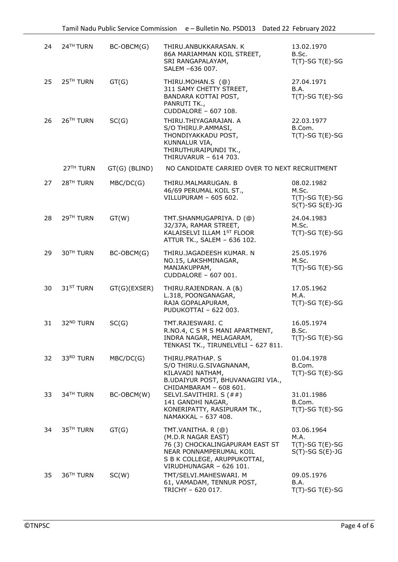| 24 | 24TH TURN             | BC-OBCM(G)    | THIRU.ANBUKKARASAN. K<br>86A MARIAMMAN KOIL STREET,<br>SRI RANGAPALAYAM,<br>SALEM -636 007.                                                                       | 13.02.1970<br>B.Sc.<br>$T(T)-SG T(E)-SG$                              |
|----|-----------------------|---------------|-------------------------------------------------------------------------------------------------------------------------------------------------------------------|-----------------------------------------------------------------------|
| 25 | 25 <sup>TH</sup> TURN | GT(G)         | THIRU.MOHAN.S (@)<br>311 SAMY CHETTY STREET,<br>BANDARA KOTTAI POST,<br>PANRUTI TK.,<br>CUDDALORE - 607 108.                                                      | 27.04.1971<br>B.A.<br>$T(T)$ -SG $T(E)$ -SG                           |
| 26 | 26 <sup>TH</sup> TURN | SC(G)         | THIRU.THIYAGARAJAN. A<br>S/O THIRU.P.AMMASI,<br>THONDIYAKKADU POST,<br>KUNNALUR VIA,<br>THIRUTHURAIPUNDI TK.,<br>THIRUVARUR - 614 703.                            | 22.03.1977<br>B.Com.<br>$T(T)$ -SG $T(E)$ -SG                         |
|    | 27 <sup>TH</sup> TURN | GT(G) (BLIND) | NO CANDIDATE CARRIED OVER TO NEXT RECRUITMENT                                                                                                                     |                                                                       |
| 27 | 28 <sup>TH</sup> TURN | MBC/DC(G)     | THIRU.MALMARUGAN. B<br>46/69 PERUMAL KOIL ST.,<br>VILLUPURAM - 605 602.                                                                                           | 08.02.1982<br>M.Sc.<br>$T(T)$ -SG $T(E)$ -SG<br>$S(T)$ -SG $S(E)$ -JG |
| 28 | 29 <sup>TH</sup> TURN | GT(W)         | TMT.SHANMUGAPRIYA. D (@)<br>32/37A, RAMAR STREET,<br>KALAISELVI ILLAM 1ST FLOOR<br>ATTUR TK., SALEM - 636 102.                                                    | 24.04.1983<br>M.Sc.<br>$T(T)$ -SG $T(E)$ -SG                          |
| 29 | 30 <sup>TH</sup> TURN | BC-OBCM(G)    | THIRU.JAGADEESH KUMAR. N<br>NO.15, LAKSHMINAGAR,<br>MANJAKUPPAM,<br>CUDDALORE - 607 001.                                                                          | 25.05.1976<br>M.Sc.<br>$T(T)$ -SG $T(E)$ -SG                          |
| 30 | 31 <sup>ST</sup> TURN | GT(G)(EXSER)  | THIRU.RAJENDRAN. A (&)<br>L.318, POONGANAGAR,<br>RAJA GOPALAPURAM,<br>PUDUKOTTAI - 622 003.                                                                       | 17.05.1962<br>M.A.<br>$T(T)$ -SG $T(E)$ -SG                           |
| 31 | 32 <sup>ND</sup> TURN | SC(G)         | TMT.RAJESWARI. C<br>R.NO.4, C S M S MANI APARTMENT,<br>INDRA NAGAR, MELAGARAM,<br>TENKASI TK., TIRUNELVELI - 627 811.                                             | 16.05.1974<br>B.Sc.<br>T(T)-SG T(E)-SG                                |
| 32 | 33RD TURN             | MBC/DC(G)     | THIRU.PRATHAP. S<br>S/O THIRU.G.SIVAGNANAM,<br>KILAVADI NATHAM,<br>B.UDAIYUR POST, BHUVANAGIRI VIA.,                                                              | 01.04.1978<br>B.Com.<br>$T(T)$ -SG T(E)-SG                            |
| 33 | 34 <sup>TH</sup> TURN | BC-OBCM(W)    | CHIDAMBARAM - 608 601.<br>SELVI.SAVITHIRI. S (##)<br>141 GANDHI NAGAR,<br>KONERIPATTY, RASIPURAM TK.,<br>NAMAKKAL - 637 408.                                      | 31.01.1986<br>B.Com.<br>$T(T)$ -SG $T(E)$ -SG                         |
| 34 | 35 <sup>TH</sup> TURN | GT(G)         | TMT.VANITHA. R (@)<br>(M.D.R NAGAR EAST)<br>76 (3) CHOCKALINGAPURAM EAST ST<br>NEAR PONNAMPERUMAL KOIL<br>S B K COLLEGE, ARUPPUKOTTAI,<br>VIRUDHUNAGAR - 626 101. | 03.06.1964<br>M.A.<br>$T(T)$ -SG $T(E)$ -SG<br>$S(T)$ -SG $S(E)$ -JG  |
| 35 | 36 <sup>TH</sup> TURN | SC(W)         | TMT/SELVI.MAHESWARI. M<br>61, VAMADAM, TENNUR POST,<br>TRICHY - 620 017.                                                                                          | 09.05.1976<br>B.A.<br>$T(T)$ -SG T(E)-SG                              |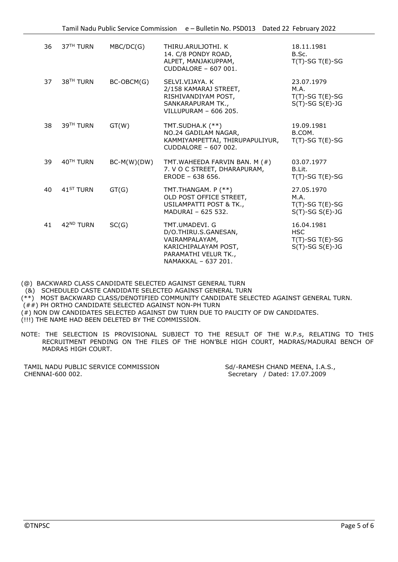| 36 | 37 <sup>TH</sup> TURN | MBC/DC(G)     | THIRU.ARULJOTHI. K<br>14. C/8 PONDY ROAD,<br>ALPET, MANJAKUPPAM,<br>CUDDALORE - 607 001.                                        | 18.11.1981<br>B.Sc.<br>$T(T)$ -SG T(E)-SG                               |
|----|-----------------------|---------------|---------------------------------------------------------------------------------------------------------------------------------|-------------------------------------------------------------------------|
| 37 | 38 <sup>TH</sup> TURN | BC-OBCM(G)    | SELVI.VIJAYA. K<br>2/158 KAMARAJ STREET,<br>RISHIVANDIYAM POST,<br>SANKARAPURAM TK.,<br>VILLUPURAM - 606 205.                   | 23.07.1979<br>M.A.<br>$T(T)$ -SG $T(E)$ -SG<br>$S(T)$ -SG $S(E)$ -JG    |
| 38 | 39TH TURN             | GT(W)         | TMT.SUDHA.K (**)<br>NO.24 GADILAM NAGAR,<br>KAMMIYAMPETTAI, THIRUPAPULIYUR,<br>CUDDALORE - 607 002.                             | 19.09.1981<br>B.COM.<br>$T(T)$ -SG $T(E)$ -SG                           |
| 39 | 40TH TURN             | $BC-M(W)(DW)$ | TMT.WAHEEDA FARVIN BAN. M (#)<br>7. V O C STREET, DHARAPURAM,<br>ERODE - 638 656.                                               | 03.07.1977<br>B.Lit.<br>$T(T)$ -SG T(E)-SG                              |
| 40 | 41 <sup>ST</sup> TURN | GT(G)         | TMT.THANGAM. P (**)<br>OLD POST OFFICE STREET,<br>USILAMPATTI POST & TK.,<br>MADURAI - 625 532.                                 | 27.05.1970<br>M.A.<br>$T(T)$ -SG $T(E)$ -SG<br>$S(T)$ -SG $S(E)$ -JG    |
| 41 | 42 <sup>ND</sup> TURN | SC(G)         | TMT.UMADEVI. G<br>D/O.THIRU.S.GANESAN,<br>VAIRAMPALAYAM,<br>KARICHIPALAYAM POST,<br>PARAMATHI VELUR TK.,<br>NAMAKKAL - 637 201. | 16.04.1981<br><b>HSC</b><br>$T(T)$ -SG T(E)-SG<br>$S(T)$ -SG $S(E)$ -JG |

(@) BACKWARD CLASS CANDIDATE SELECTED AGAINST GENERAL TURN

(&) SCHEDULED CASTE CANDIDATE SELECTED AGAINST GENERAL TURN

(\*\*) MOST BACKWARD CLASS/DENOTIFIED COMMUNITY CANDIDATE SELECTED AGAINST GENERAL TURN.

 $H^*(\# \#)$  PH ORTHO CANDIDATE SELECTED AGAINST NON-PH TURN

- (#) NON DW CANDIDATES SELECTED AGAINST DW TURN DUE TO PAUCITY OF DW CANDIDATES.
- (!!!) THE NAME HAD BEEN DELETED BY THE COMMISSION.
- NOTE: THE SELECTION IS PROVISIONAL SUBJECT TO THE RESULT OF THE W.P.s, RELATING TO THIS RECRUITMENT PENDING ON THE FILES OF THE HON'BLE HIGH COURT, MADRAS/MADURAI BENCH OF MADRAS HIGH COURT.

TAMIL NADU PUBLIC SERVICE COMMISSION Sd/-RAMESH CHAND MEENA, I.A.S., CHENNAI-600 002. Secretary / Dated: 17.07.2009